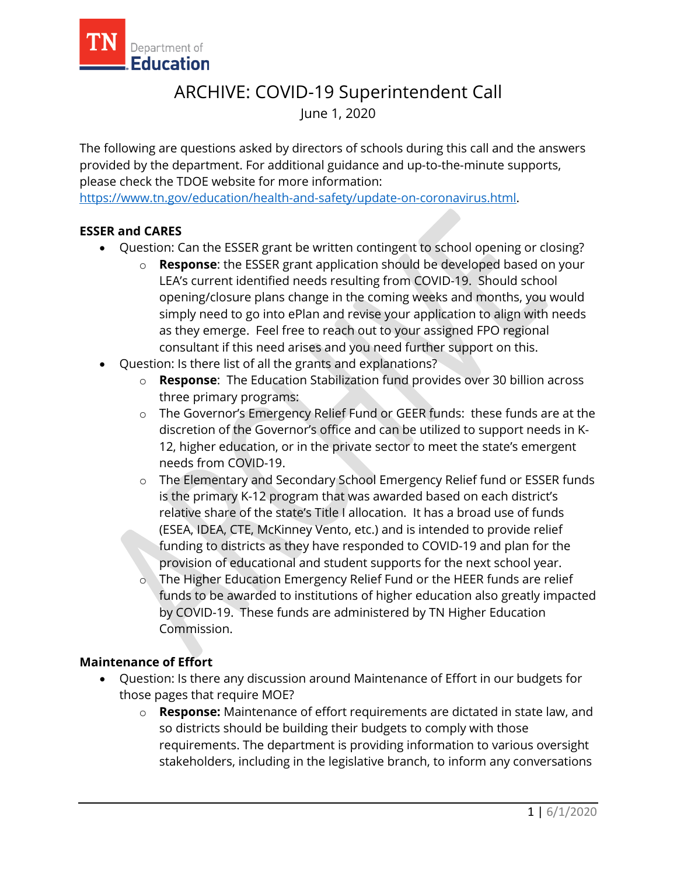

# ARCHIVE: COVID-19 Superintendent Call June 1, 2020

The following are questions asked by directors of schools during this call and the answers provided by the department. For additional guidance and up-to-the-minute supports, please check the TDOE website for more information:

[https://www.tn.gov/education/health-and-safety/update-on-coronavirus.html.](https://www.tn.gov/education/health-and-safety/update-on-coronavirus.html)

## **ESSER and CARES**

- Question: Can the ESSER grant be written contingent to school opening or closing?
	- o **Response**: the ESSER grant application should be developed based on your LEA's current identified needs resulting from COVID-19. Should school opening/closure plans change in the coming weeks and months, you would simply need to go into ePlan and revise your application to align with needs as they emerge. Feel free to reach out to your assigned FPO regional consultant if this need arises and you need further support on this.
- Question: Is there list of all the grants and explanations?
	- o **Response**: The Education Stabilization fund provides over 30 billion across three primary programs:
	- o The Governor's Emergency Relief Fund or GEER funds: these funds are at the discretion of the Governor's office and can be utilized to support needs in K-12, higher education, or in the private sector to meet the state's emergent needs from COVID-19.
	- o The Elementary and Secondary School Emergency Relief fund or ESSER funds is the primary K-12 program that was awarded based on each district's relative share of the state's Title I allocation. It has a broad use of funds (ESEA, IDEA, CTE, McKinney Vento, etc.) and is intended to provide relief funding to districts as they have responded to COVID-19 and plan for the provision of educational and student supports for the next school year.
	- The Higher Education Emergency Relief Fund or the HEER funds are relief funds to be awarded to institutions of higher education also greatly impacted by COVID-19. These funds are administered by TN Higher Education Commission.

## **Maintenance of Effort**

- Question: Is there any discussion around Maintenance of Effort in our budgets for those pages that require MOE?
	- o **Response:** Maintenance of effort requirements are dictated in state law, and so districts should be building their budgets to comply with those requirements. The department is providing information to various oversight stakeholders, including in the legislative branch, to inform any conversations